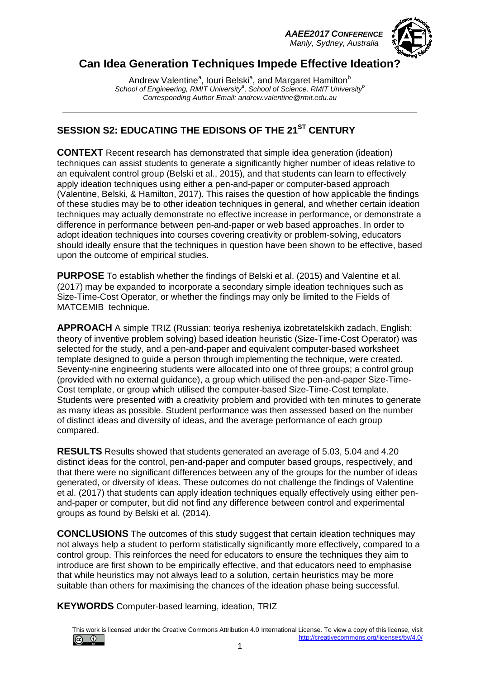*AAEE2017 CONFERENCE*

 *Manly, Sydney, Australia*



### **Can Idea Generation Techniques Impede Effective Ideation?**

Andrew Valentine<sup>a</sup>, Iouri Belski<sup>a</sup>, and Margaret Hamilton<sup>b</sup> School of Engineering, RMIT University<sup>2</sup>, School of Science, RMIT University<sup>t</sup> *Corresponding Author Email: andrew.valentine@rmit.edu.au*

### **SESSION S2: EDUCATING THE EDISONS OF THE 21ST CENTURY**

**CONTEXT** Recent research has demonstrated that simple idea generation (ideation) techniques can assist students to generate a significantly higher number of ideas relative to an equivalent control group (Belski et al., 2015), and that students can learn to effectively apply ideation techniques using either a pen-and-paper or computer-based approach (Valentine, Belski, & Hamilton, 2017). This raises the question of how applicable the findings of these studies may be to other ideation techniques in general, and whether certain ideation techniques may actually demonstrate no effective increase in performance, or demonstrate a difference in performance between pen-and-paper or web based approaches. In order to adopt ideation techniques into courses covering creativity or problem-solving, educators should ideally ensure that the techniques in question have been shown to be effective, based upon the outcome of empirical studies.

**PURPOSE** To establish whether the findings of Belski et al. (2015) and Valentine et al. (2017) may be expanded to incorporate a secondary simple ideation techniques such as Size-Time-Cost Operator, or whether the findings may only be limited to the Fields of MATCEMIB technique.

**APPROACH** A simple TRIZ (Russian: teoriya resheniya izobretatelskikh zadach, English: theory of inventive problem solving) based ideation heuristic (Size-Time-Cost Operator) was selected for the study, and a pen-and-paper and equivalent computer-based worksheet template designed to guide a person through implementing the technique, were created. Seventy-nine engineering students were allocated into one of three groups; a control group (provided with no external guidance), a group which utilised the pen-and-paper Size-Time-Cost template, or group which utilised the computer-based Size-Time-Cost template. Students were presented with a creativity problem and provided with ten minutes to generate as many ideas as possible. Student performance was then assessed based on the number of distinct ideas and diversity of ideas, and the average performance of each group compared.

**RESULTS** Results showed that students generated an average of 5.03, 5.04 and 4.20 distinct ideas for the control, pen-and-paper and computer based groups, respectively, and that there were no significant differences between any of the groups for the number of ideas generated, or diversity of ideas. These outcomes do not challenge the findings of Valentine et al. (2017) that students can apply ideation techniques equally effectively using either penand-paper or computer, but did not find any difference between control and experimental groups as found by Belski et al. (2014).

**CONCLUSIONS** The outcomes of this study suggest that certain ideation techniques may not always help a student to perform statistically significantly more effectively, compared to a control group. This reinforces the need for educators to ensure the techniques they aim to introduce are first shown to be empirically effective, and that educators need to emphasise that while heuristics may not always lead to a solution, certain heuristics may be more suitable than others for maximising the chances of the ideation phase being successful.

**KEYWORDS** Computer-based learning, ideation, TRIZ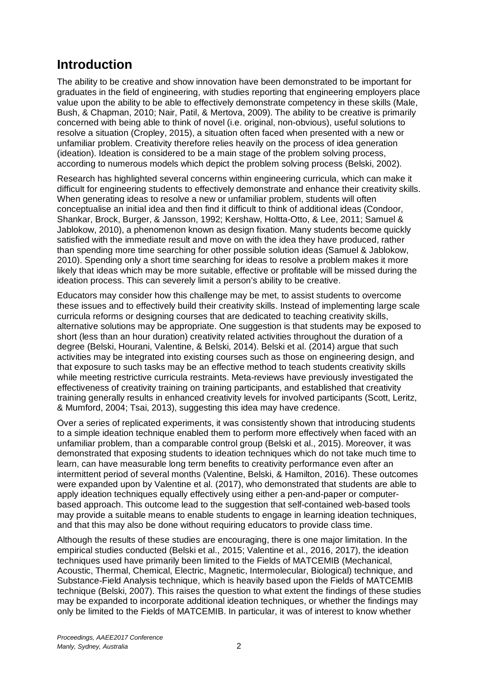### **Introduction**

The ability to be creative and show innovation have been demonstrated to be important for graduates in the field of engineering, with studies reporting that engineering employers place value upon the ability to be able to effectively demonstrate competency in these skills (Male, Bush, & Chapman, 2010; Nair, Patil, & Mertova, 2009). The ability to be creative is primarily concerned with being able to think of novel (i.e. original, non-obvious), useful solutions to resolve a situation (Cropley, 2015), a situation often faced when presented with a new or unfamiliar problem. Creativity therefore relies heavily on the process of idea generation (ideation). Ideation is considered to be a main stage of the problem solving process, according to numerous models which depict the problem solving process (Belski, 2002).

Research has highlighted several concerns within engineering curricula, which can make it difficult for engineering students to effectively demonstrate and enhance their creativity skills. When generating ideas to resolve a new or unfamiliar problem, students will often conceptualise an initial idea and then find it difficult to think of additional ideas (Condoor, Shankar, Brock, Burger, & Jansson, 1992; Kershaw, Holtta-Otto, & Lee, 2011; Samuel & Jablokow, 2010), a phenomenon known as design fixation. Many students become quickly satisfied with the immediate result and move on with the idea they have produced, rather than spending more time searching for other possible solution ideas (Samuel & Jablokow, 2010). Spending only a short time searching for ideas to resolve a problem makes it more likely that ideas which may be more suitable, effective or profitable will be missed during the ideation process. This can severely limit a person's ability to be creative.

Educators may consider how this challenge may be met, to assist students to overcome these issues and to effectively build their creativity skills. Instead of implementing large scale curricula reforms or designing courses that are dedicated to teaching creativity skills, alternative solutions may be appropriate. One suggestion is that students may be exposed to short (less than an hour duration) creativity related activities throughout the duration of a degree (Belski, Hourani, Valentine, & Belski, 2014). Belski et al. (2014) argue that such activities may be integrated into existing courses such as those on engineering design, and that exposure to such tasks may be an effective method to teach students creativity skills while meeting restrictive curricula restraints. Meta-reviews have previously investigated the effectiveness of creativity training on training participants, and established that creativity training generally results in enhanced creativity levels for involved participants (Scott, Leritz, & Mumford, 2004; Tsai, 2013), suggesting this idea may have credence.

Over a series of replicated experiments, it was consistently shown that introducing students to a simple ideation technique enabled them to perform more effectively when faced with an unfamiliar problem, than a comparable control group (Belski et al., 2015). Moreover, it was demonstrated that exposing students to ideation techniques which do not take much time to learn, can have measurable long term benefits to creativity performance even after an intermittent period of several months (Valentine, Belski, & Hamilton, 2016). These outcomes were expanded upon by Valentine et al. (2017), who demonstrated that students are able to apply ideation techniques equally effectively using either a pen-and-paper or computerbased approach. This outcome lead to the suggestion that self-contained web-based tools may provide a suitable means to enable students to engage in learning ideation techniques, and that this may also be done without requiring educators to provide class time.

Although the results of these studies are encouraging, there is one major limitation. In the empirical studies conducted (Belski et al., 2015; Valentine et al., 2016, 2017), the ideation techniques used have primarily been limited to the Fields of MATCEMIB (Mechanical, Acoustic, Thermal, Chemical, Electric, Magnetic, Intermolecular, Biological) technique, and Substance-Field Analysis technique, which is heavily based upon the Fields of MATCEMIB technique (Belski, 2007). This raises the question to what extent the findings of these studies may be expanded to incorporate additional ideation techniques, or whether the findings may only be limited to the Fields of MATCEMIB. In particular, it was of interest to know whether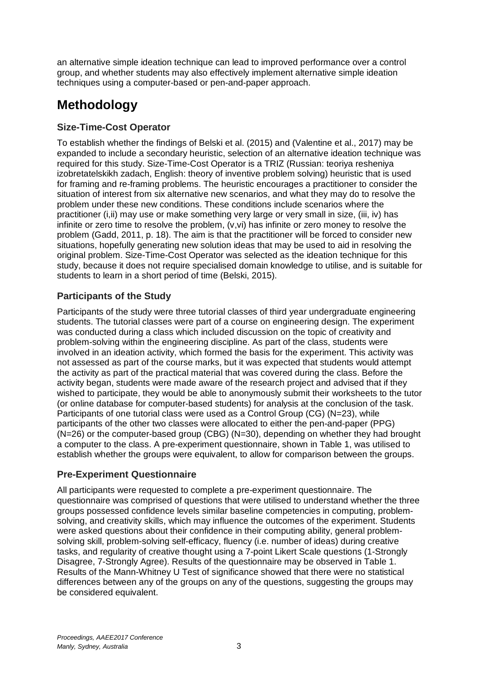an alternative simple ideation technique can lead to improved performance over a control group, and whether students may also effectively implement alternative simple ideation techniques using a computer-based or pen-and-paper approach.

# **Methodology**

#### **Size-Time-Cost Operator**

To establish whether the findings of Belski et al. (2015) and (Valentine et al., 2017) may be expanded to include a secondary heuristic, selection of an alternative ideation technique was required for this study. Size-Time-Cost Operator is a TRIZ (Russian: teoriya resheniya izobretatelskikh zadach, English: theory of inventive problem solving) heuristic that is used for framing and re-framing problems. The heuristic encourages a practitioner to consider the situation of interest from six alternative new scenarios, and what they may do to resolve the problem under these new conditions. These conditions include scenarios where the practitioner (i,ii) may use or make something very large or very small in size, (iii, iv) has infinite or zero time to resolve the problem, (v,vi) has infinite or zero money to resolve the problem (Gadd, 2011, p. 18). The aim is that the practitioner will be forced to consider new situations, hopefully generating new solution ideas that may be used to aid in resolving the original problem. Size-Time-Cost Operator was selected as the ideation technique for this study, because it does not require specialised domain knowledge to utilise, and is suitable for students to learn in a short period of time (Belski, 2015).

#### **Participants of the Study**

Participants of the study were three tutorial classes of third year undergraduate engineering students. The tutorial classes were part of a course on engineering design. The experiment was conducted during a class which included discussion on the topic of creativity and problem-solving within the engineering discipline. As part of the class, students were involved in an ideation activity, which formed the basis for the experiment. This activity was not assessed as part of the course marks, but it was expected that students would attempt the activity as part of the practical material that was covered during the class. Before the activity began, students were made aware of the research project and advised that if they wished to participate, they would be able to anonymously submit their worksheets to the tutor (or online database for computer-based students) for analysis at the conclusion of the task. Participants of one tutorial class were used as a Control Group (CG) (N=23), while participants of the other two classes were allocated to either the pen-and-paper (PPG) (N=26) or the computer-based group (CBG) (N=30), depending on whether they had brought a computer to the class. A pre-experiment questionnaire, shown in Table 1, was utilised to establish whether the groups were equivalent, to allow for comparison between the groups.

#### **Pre-Experiment Questionnaire**

All participants were requested to complete a pre-experiment questionnaire. The questionnaire was comprised of questions that were utilised to understand whether the three groups possessed confidence levels similar baseline competencies in computing, problemsolving, and creativity skills, which may influence the outcomes of the experiment. Students were asked questions about their confidence in their computing ability, general problemsolving skill, problem-solving self-efficacy, fluency (i.e. number of ideas) during creative tasks, and regularity of creative thought using a 7-point Likert Scale questions (1-Strongly Disagree, 7-Strongly Agree). Results of the questionnaire may be observed in Table 1. Results of the Mann-Whitney U Test of significance showed that there were no statistical differences between any of the groups on any of the questions, suggesting the groups may be considered equivalent.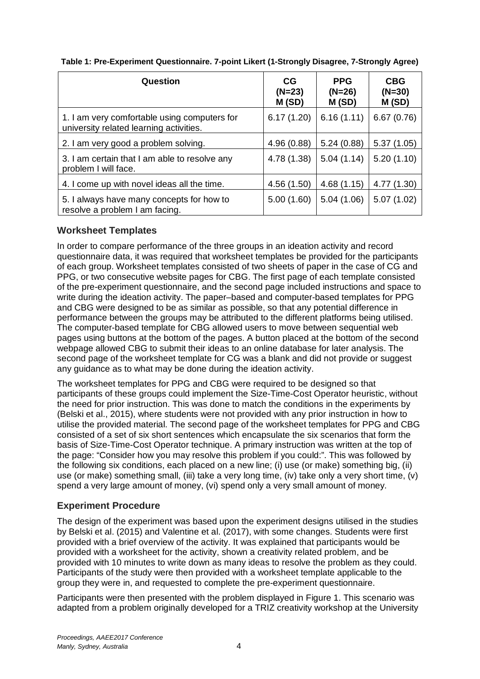| Question                                                                                | CG<br>$(N=23)$<br>M(SD) | <b>PPG</b><br>$(N=26)$<br>M(SD) | <b>CBG</b><br>$(N=30)$<br>M(SD) |
|-----------------------------------------------------------------------------------------|-------------------------|---------------------------------|---------------------------------|
| 1. I am very comfortable using computers for<br>university related learning activities. | 6.17(1.20)              | 6.16(1.11)                      | 6.67(0.76)                      |
| 2. I am very good a problem solving.                                                    | 4.96(0.88)              | 5.24(0.88)                      | 5.37(1.05)                      |
| 3. I am certain that I am able to resolve any<br>problem I will face.                   | 4.78 (1.38)             | 5.04(1.14)                      | 5.20(1.10)                      |
| 4. I come up with novel ideas all the time.                                             | 4.56 (1.50)             | 4.68(1.15)                      | 4.77 (1.30)                     |
| 5. I always have many concepts for how to<br>resolve a problem I am facing.             | 5.00(1.60)              | 5.04(1.06)                      | 5.07(1.02)                      |

#### **Table 1: Pre-Experiment Questionnaire. 7-point Likert (1-Strongly Disagree, 7-Strongly Agree)**

#### **Worksheet Templates**

In order to compare performance of the three groups in an ideation activity and record questionnaire data, it was required that worksheet templates be provided for the participants of each group. Worksheet templates consisted of two sheets of paper in the case of CG and PPG, or two consecutive website pages for CBG. The first page of each template consisted of the pre-experiment questionnaire, and the second page included instructions and space to write during the ideation activity. The paper–based and computer-based templates for PPG and CBG were designed to be as similar as possible, so that any potential difference in performance between the groups may be attributed to the different platforms being utilised. The computer-based template for CBG allowed users to move between sequential web pages using buttons at the bottom of the pages. A button placed at the bottom of the second webpage allowed CBG to submit their ideas to an online database for later analysis. The second page of the worksheet template for CG was a blank and did not provide or suggest any guidance as to what may be done during the ideation activity.

The worksheet templates for PPG and CBG were required to be designed so that participants of these groups could implement the Size-Time-Cost Operator heuristic, without the need for prior instruction. This was done to match the conditions in the experiments by (Belski et al., 2015), where students were not provided with any prior instruction in how to utilise the provided material. The second page of the worksheet templates for PPG and CBG consisted of a set of six short sentences which encapsulate the six scenarios that form the basis of Size-Time-Cost Operator technique. A primary instruction was written at the top of the page: "Consider how you may resolve this problem if you could:". This was followed by the following six conditions, each placed on a new line; (i) use (or make) something big, (ii) use (or make) something small, (iii) take a very long time, (iv) take only a very short time, (v) spend a very large amount of money, (vi) spend only a very small amount of money.

#### **Experiment Procedure**

The design of the experiment was based upon the experiment designs utilised in the studies by Belski et al. (2015) and Valentine et al. (2017), with some changes. Students were first provided with a brief overview of the activity. It was explained that participants would be provided with a worksheet for the activity, shown a creativity related problem, and be provided with 10 minutes to write down as many ideas to resolve the problem as they could. Participants of the study were then provided with a worksheet template applicable to the group they were in, and requested to complete the pre-experiment questionnaire.

Participants were then presented with the problem displayed in Figure 1. This scenario was adapted from a problem originally developed for a TRIZ creativity workshop at the University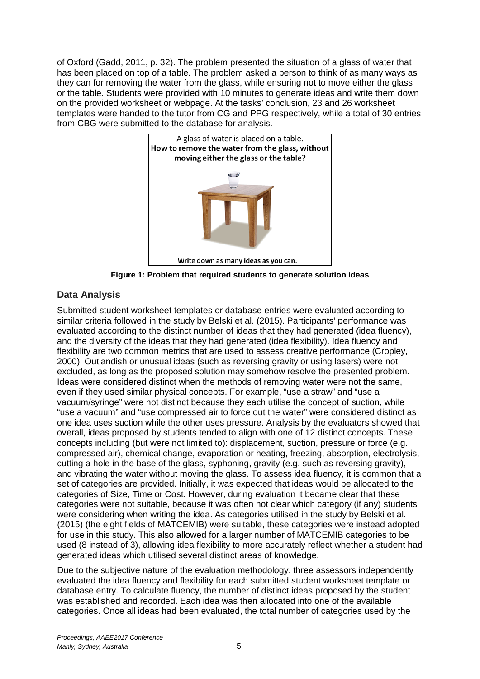of Oxford (Gadd, 2011, p. 32). The problem presented the situation of a glass of water that has been placed on top of a table. The problem asked a person to think of as many ways as they can for removing the water from the glass, while ensuring not to move either the glass or the table. Students were provided with 10 minutes to generate ideas and write them down on the provided worksheet or webpage. At the tasks' conclusion, 23 and 26 worksheet templates were handed to the tutor from CG and PPG respectively, while a total of 30 entries from CBG were submitted to the database for analysis.



**Figure 1: Problem that required students to generate solution ideas**

#### **Data Analysis**

Submitted student worksheet templates or database entries were evaluated according to similar criteria followed in the study by Belski et al. (2015). Participants' performance was evaluated according to the distinct number of ideas that they had generated (idea fluency), and the diversity of the ideas that they had generated (idea flexibility). Idea fluency and flexibility are two common metrics that are used to assess creative performance (Cropley, 2000). Outlandish or unusual ideas (such as reversing gravity or using lasers) were not excluded, as long as the proposed solution may somehow resolve the presented problem. Ideas were considered distinct when the methods of removing water were not the same, even if they used similar physical concepts. For example, "use a straw" and "use a vacuum/syringe" were not distinct because they each utilise the concept of suction, while "use a vacuum" and "use compressed air to force out the water" were considered distinct as one idea uses suction while the other uses pressure. Analysis by the evaluators showed that overall, ideas proposed by students tended to align with one of 12 distinct concepts. These concepts including (but were not limited to): displacement, suction, pressure or force (e.g. compressed air), chemical change, evaporation or heating, freezing, absorption, electrolysis, cutting a hole in the base of the glass, syphoning, gravity (e.g. such as reversing gravity), and vibrating the water without moving the glass. To assess idea fluency, it is common that a set of categories are provided. Initially, it was expected that ideas would be allocated to the categories of Size, Time or Cost. However, during evaluation it became clear that these categories were not suitable, because it was often not clear which category (if any) students were considering when writing the idea. As categories utilised in the study by Belski et al. (2015) (the eight fields of MATCEMIB) were suitable, these categories were instead adopted for use in this study. This also allowed for a larger number of MATCEMIB categories to be used (8 instead of 3), allowing idea flexibility to more accurately reflect whether a student had generated ideas which utilised several distinct areas of knowledge.

Due to the subjective nature of the evaluation methodology, three assessors independently evaluated the idea fluency and flexibility for each submitted student worksheet template or database entry. To calculate fluency, the number of distinct ideas proposed by the student was established and recorded. Each idea was then allocated into one of the available categories. Once all ideas had been evaluated, the total number of categories used by the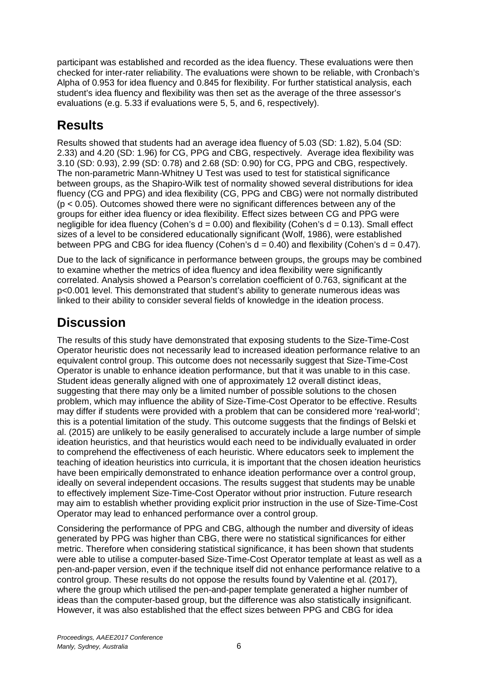participant was established and recorded as the idea fluency. These evaluations were then checked for inter-rater reliability. The evaluations were shown to be reliable, with Cronbach's Alpha of 0.953 for idea fluency and 0.845 for flexibility. For further statistical analysis, each student's idea fluency and flexibility was then set as the average of the three assessor's evaluations (e.g. 5.33 if evaluations were 5, 5, and 6, respectively).

## **Results**

Results showed that students had an average idea fluency of 5.03 (SD: 1.82), 5.04 (SD: 2.33) and 4.20 (SD: 1.96) for CG, PPG and CBG, respectively. Average idea flexibility was 3.10 (SD: 0.93), 2.99 (SD: 0.78) and 2.68 (SD: 0.90) for CG, PPG and CBG, respectively. The non-parametric Mann-Whitney U Test was used to test for statistical significance between groups, as the Shapiro-Wilk test of normality showed several distributions for idea fluency (CG and PPG) and idea flexibility (CG, PPG and CBG) were not normally distributed (p < 0.05). Outcomes showed there were no significant differences between any of the groups for either idea fluency or idea flexibility. Effect sizes between CG and PPG were negligible for idea fluency (Cohen's  $d = 0.00$ ) and flexibility (Cohen's  $d = 0.13$ ). Small effect sizes of a level to be considered educationally significant (Wolf, 1986), were established between PPG and CBG for idea fluency (Cohen's  $d = 0.40$ ) and flexibility (Cohen's  $d = 0.47$ ).

Due to the lack of significance in performance between groups, the groups may be combined to examine whether the metrics of idea fluency and idea flexibility were significantly correlated. Analysis showed a Pearson's correlation coefficient of 0.763, significant at the p<0.001 level. This demonstrated that student's ability to generate numerous ideas was linked to their ability to consider several fields of knowledge in the ideation process.

## **Discussion**

The results of this study have demonstrated that exposing students to the Size-Time-Cost Operator heuristic does not necessarily lead to increased ideation performance relative to an equivalent control group. This outcome does not necessarily suggest that Size-Time-Cost Operator is unable to enhance ideation performance, but that it was unable to in this case. Student ideas generally aligned with one of approximately 12 overall distinct ideas, suggesting that there may only be a limited number of possible solutions to the chosen problem, which may influence the ability of Size-Time-Cost Operator to be effective. Results may differ if students were provided with a problem that can be considered more 'real-world'; this is a potential limitation of the study. This outcome suggests that the findings of Belski et al. (2015) are unlikely to be easily generalised to accurately include a large number of simple ideation heuristics, and that heuristics would each need to be individually evaluated in order to comprehend the effectiveness of each heuristic. Where educators seek to implement the teaching of ideation heuristics into curricula, it is important that the chosen ideation heuristics have been empirically demonstrated to enhance ideation performance over a control group, ideally on several independent occasions. The results suggest that students may be unable to effectively implement Size-Time-Cost Operator without prior instruction. Future research may aim to establish whether providing explicit prior instruction in the use of Size-Time-Cost Operator may lead to enhanced performance over a control group.

Considering the performance of PPG and CBG, although the number and diversity of ideas generated by PPG was higher than CBG, there were no statistical significances for either metric. Therefore when considering statistical significance, it has been shown that students were able to utilise a computer-based Size-Time-Cost Operator template at least as well as a pen-and-paper version, even if the technique itself did not enhance performance relative to a control group. These results do not oppose the results found by Valentine et al. (2017), where the group which utilised the pen-and-paper template generated a higher number of ideas than the computer-based group, but the difference was also statistically insignificant. However, it was also established that the effect sizes between PPG and CBG for idea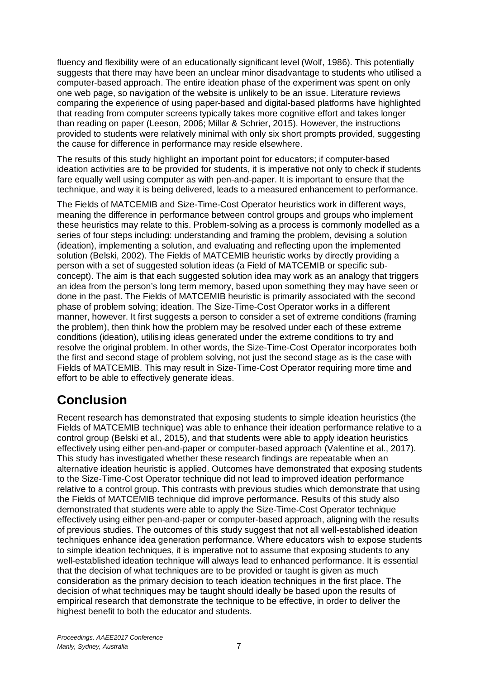fluency and flexibility were of an educationally significant level (Wolf, 1986). This potentially suggests that there may have been an unclear minor disadvantage to students who utilised a computer-based approach. The entire ideation phase of the experiment was spent on only one web page, so navigation of the website is unlikely to be an issue. Literature reviews comparing the experience of using paper-based and digital-based platforms have highlighted that reading from computer screens typically takes more cognitive effort and takes longer than reading on paper (Leeson, 2006; Millar & Schrier, 2015). However, the instructions provided to students were relatively minimal with only six short prompts provided, suggesting the cause for difference in performance may reside elsewhere.

The results of this study highlight an important point for educators; if computer-based ideation activities are to be provided for students, it is imperative not only to check if students fare equally well using computer as with pen-and-paper. It is important to ensure that the technique, and way it is being delivered, leads to a measured enhancement to performance.

The Fields of MATCEMIB and Size-Time-Cost Operator heuristics work in different ways, meaning the difference in performance between control groups and groups who implement these heuristics may relate to this. Problem-solving as a process is commonly modelled as a series of four steps including: understanding and framing the problem, devising a solution (ideation), implementing a solution, and evaluating and reflecting upon the implemented solution (Belski, 2002). The Fields of MATCEMIB heuristic works by directly providing a person with a set of suggested solution ideas (a Field of MATCEMIB or specific subconcept). The aim is that each suggested solution idea may work as an analogy that triggers an idea from the person's long term memory, based upon something they may have seen or done in the past. The Fields of MATCEMIB heuristic is primarily associated with the second phase of problem solving; ideation. The Size-Time-Cost Operator works in a different manner, however. It first suggests a person to consider a set of extreme conditions (framing the problem), then think how the problem may be resolved under each of these extreme conditions (ideation), utilising ideas generated under the extreme conditions to try and resolve the original problem. In other words, the Size-Time-Cost Operator incorporates both the first and second stage of problem solving, not just the second stage as is the case with Fields of MATCEMIB. This may result in Size-Time-Cost Operator requiring more time and effort to be able to effectively generate ideas.

### **Conclusion**

Recent research has demonstrated that exposing students to simple ideation heuristics (the Fields of MATCEMIB technique) was able to enhance their ideation performance relative to a control group (Belski et al., 2015), and that students were able to apply ideation heuristics effectively using either pen-and-paper or computer-based approach (Valentine et al., 2017). This study has investigated whether these research findings are repeatable when an alternative ideation heuristic is applied. Outcomes have demonstrated that exposing students to the Size-Time-Cost Operator technique did not lead to improved ideation performance relative to a control group. This contrasts with previous studies which demonstrate that using the Fields of MATCEMIB technique did improve performance. Results of this study also demonstrated that students were able to apply the Size-Time-Cost Operator technique effectively using either pen-and-paper or computer-based approach, aligning with the results of previous studies. The outcomes of this study suggest that not all well-established ideation techniques enhance idea generation performance. Where educators wish to expose students to simple ideation techniques, it is imperative not to assume that exposing students to any well-established ideation technique will always lead to enhanced performance. It is essential that the decision of what techniques are to be provided or taught is given as much consideration as the primary decision to teach ideation techniques in the first place. The decision of what techniques may be taught should ideally be based upon the results of empirical research that demonstrate the technique to be effective, in order to deliver the highest benefit to both the educator and students.